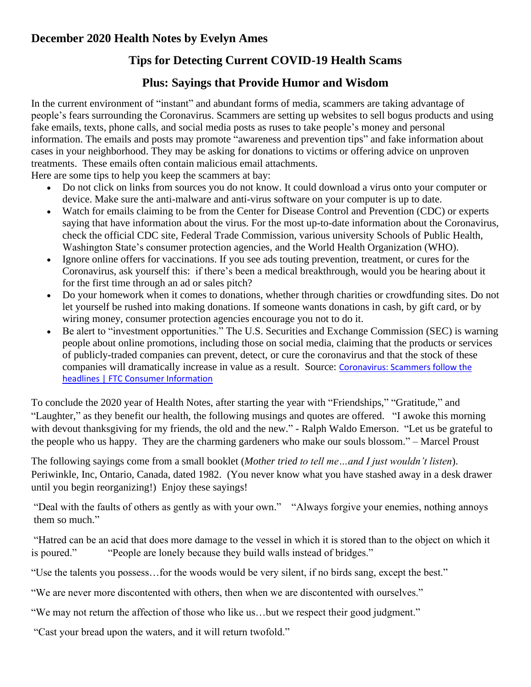## **December 2020 Health Notes by Evelyn Ames**

## **Tips for Detecting Current COVID-19 Health Scams**

## **Plus: Sayings that Provide Humor and Wisdom**

In the current environment of "instant" and abundant forms of media, scammers are taking advantage of people's fears surrounding the Coronavirus. Scammers are setting up websites to sell bogus products and using fake emails, texts, phone calls, and social media posts as ruses to take people's money and personal information. The emails and posts may promote "awareness and prevention tips" and fake information about cases in your neighborhood. They may be asking for donations to victims or offering advice on unproven treatments. These emails often contain malicious email attachments.

Here are some tips to help you keep the scammers at bay:

- Do not [click on links from sources you do not](https://www.consumer.ftc.gov/articles/how-recognize-and-avoid-phishing-scams) know. It could download a virus onto your computer or device. Make sure the anti-malware and anti-virus [software](https://www.consumer.ftc.gov/articles/0011-malware) on your computer is up to date.
- Watch for emails claiming to be from the Center for Disease Control and Prevention (CDC) or experts saying that have information about the virus. For the most up-to-date information about the Coronavirus, check the official CDC site, Federal Trade Commission, various university Schools of Public Health, Washington State's consumer protection agencies, and the [World Health Organization](https://www.who.int/emergencies/diseases/novel-coronavirus-2019) (WHO).
- Ignore online offers for vaccinations. If you see ads touting prevention, treatment, or cures for the Coronavirus, ask yourself this: if there's been a [medical breakthrough,](https://www.consumer.ftc.gov/articles/0167-miracle-health-claims) would you be hearing about it for the first time through an ad or sales pitch?
- Do your homework when it comes to donations, whether through [charities](https://www.consumer.ftc.gov/features/how-donate-wisely-and-avoid-charity-scams) or crowdfunding sites. Do not let yourself be rushed into making donations. If someone wants donations in cash, by gift card, or by wiring money, consumer protection agencies encourage you not to do it.
- Be alert to "investment opportunities." The [U.S. Securities and Exchange Commission](https://www.sec.gov/oiea/investor-alerts-and-bulletins/ia_coronavirus) (SEC) is warning people about online promotions, including those on social media, claiming that the products or services of publicly-traded companies can prevent, detect, or cure the coronavirus and that the stock of these companies will dramatically increase in value as a result. Source: [Coronavirus: Scammers follow the](https://www.consumer.ftc.gov/blog/2020/02/coronavirus-scammers-follow-headlines)  [headlines | FTC Consumer Information](https://www.consumer.ftc.gov/blog/2020/02/coronavirus-scammers-follow-headlines)

To conclude the 2020 year of Health Notes, after starting the year with "Friendships," "Gratitude," and "Laughter," as they benefit our health, the following musings and quotes are offered. "I awoke this morning with devout thanksgiving for my friends, the old and the new." - Ralph Waldo Emerson. "Let us be grateful to the people who us happy. They are the charming gardeners who make our souls blossom." – Marcel Proust

The following sayings come from a small booklet (*Mother tried to tell me…and I just wouldn't listen*). Periwinkle, Inc, Ontario, Canada, dated 1982. (You never know what you have stashed away in a desk drawer until you begin reorganizing!) Enjoy these sayings!

"Deal with the faults of others as gently as with your own." "Always forgive your enemies, nothing annoys them so much."

"Hatred can be an acid that does more damage to the vessel in which it is stored than to the object on which it is poured." "People are lonely because they build walls instead of bridges."

"Use the talents you possess…for the woods would be very silent, if no birds sang, except the best."

"We are never more discontented with others, then when we are discontented with ourselves."

"We may not return the affection of those who like us…but we respect their good judgment."

"Cast your bread upon the waters, and it will return twofold."